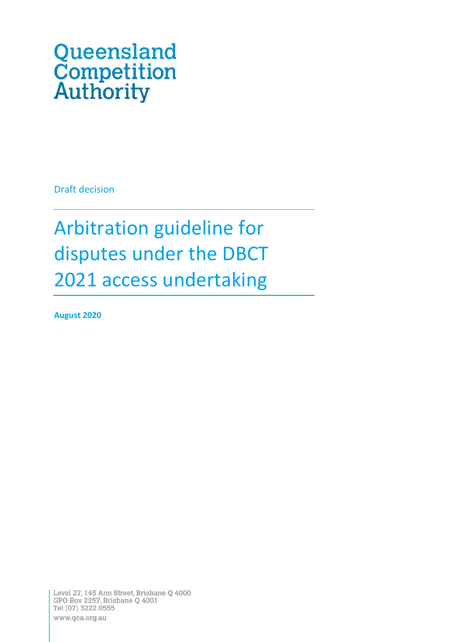# Queensland **Competition**<br>**Authority**

Draft decision

## Arbitration guideline for disputes under the DBCT 2021 access undertaking

**August 2020**

Level 27, 145 Ann Street, Brisbane Q 4000 GPO Box 2257, Brisbane Q 4001 Tel (07) 3222 0555 www.qca.org.au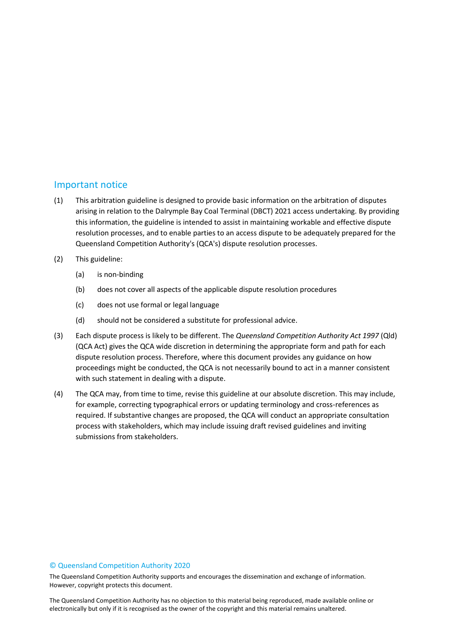## <span id="page-1-0"></span>Important notice

- (1) This arbitration guideline is designed to provide basic information on the arbitration of disputes arising in relation to the Dalrymple Bay Coal Terminal (DBCT) 2021 access undertaking. By providing this information, the guideline is intended to assist in maintaining workable and effective dispute resolution processes, and to enable parties to an access dispute to be adequately prepared for the Queensland Competition Authority's (QCA's) dispute resolution processes.
- (2) This guideline:
	- (a) is non-binding
	- (b) does not cover all aspects of the applicable dispute resolution procedures
	- (c) does not use formal or legal language
	- (d) should not be considered a substitute for professional advice.
- (3) Each dispute process is likely to be different. The *Queensland Competition Authority Act 1997* (Qld) (QCA Act) gives the QCA wide discretion in determining the appropriate form and path for each dispute resolution process. Therefore, where this document provides any guidance on how proceedings might be conducted, the QCA is not necessarily bound to act in a manner consistent with such statement in dealing with a dispute.
- (4) The QCA may, from time to time, revise this guideline at our absolute discretion. This may include, for example, correcting typographical errors or updating terminology and cross-references as required. If substantive changes are proposed, the QCA will conduct an appropriate consultation process with stakeholders, which may include issuing draft revised guidelines and inviting submissions from stakeholders.

#### © Queensland Competition Authority 2020

The Queensland Competition Authority supports and encourages the dissemination and exchange of information. However, copyright protects this document.

2 electronically but only if it is recognised as the owner of the copyright and this material remains unaltered.The Queensland Competition Authority has no objection to this material being reproduced, made available online or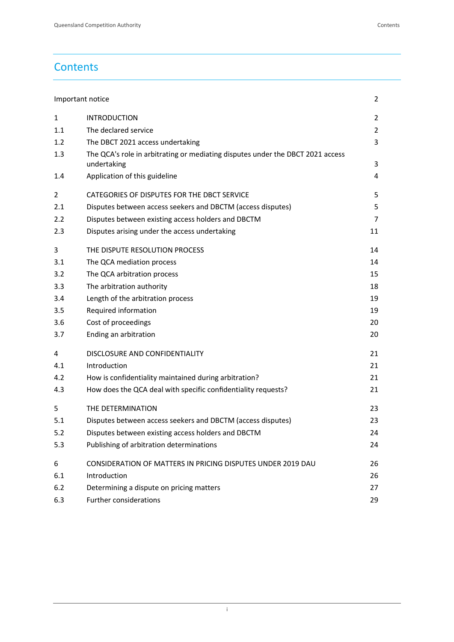## **Contents**

| Important notice |                                                                                               | 2              |
|------------------|-----------------------------------------------------------------------------------------------|----------------|
| $\mathbf{1}$     | <b>INTRODUCTION</b>                                                                           | 2              |
| 1.1              | The declared service                                                                          | $\overline{2}$ |
| 1.2              | The DBCT 2021 access undertaking                                                              | 3              |
| 1.3              | The QCA's role in arbitrating or mediating disputes under the DBCT 2021 access<br>undertaking | 3              |
| 1.4              | Application of this guideline                                                                 | 4              |
| 2                | CATEGORIES OF DISPUTES FOR THE DBCT SERVICE                                                   | 5              |
| 2.1              | Disputes between access seekers and DBCTM (access disputes)                                   | 5              |
| 2.2              | Disputes between existing access holders and DBCTM                                            | 7              |
| 2.3              | Disputes arising under the access undertaking                                                 | 11             |
| 3                | THE DISPUTE RESOLUTION PROCESS                                                                | 14             |
| 3.1              | The QCA mediation process                                                                     | 14             |
| 3.2              | The QCA arbitration process                                                                   | 15             |
| 3.3              | The arbitration authority                                                                     | 18             |
| 3.4              | Length of the arbitration process                                                             | 19             |
| 3.5              | Required information                                                                          | 19             |
| 3.6              | Cost of proceedings                                                                           | 20             |
| 3.7              | Ending an arbitration                                                                         | 20             |
| 4                | DISCLOSURE AND CONFIDENTIALITY                                                                | 21             |
| 4.1              | Introduction                                                                                  | 21             |
| 4.2              | How is confidentiality maintained during arbitration?                                         | 21             |
| 4.3              | How does the QCA deal with specific confidentiality requests?                                 | 21             |
| 5                | THE DETERMINATION                                                                             | 23             |
| 5.1              | Disputes between access seekers and DBCTM (access disputes)                                   | 23             |
| 5.2              | Disputes between existing access holders and DBCTM                                            | 24             |
| 5.3              | Publishing of arbitration determinations                                                      | 24             |
| 6                | CONSIDERATION OF MATTERS IN PRICING DISPUTES UNDER 2019 DAU                                   | 26             |
| 6.1              | Introduction                                                                                  | 26             |
| 6.2              | Determining a dispute on pricing matters                                                      | 27             |
| 6.3              | Further considerations                                                                        | 29             |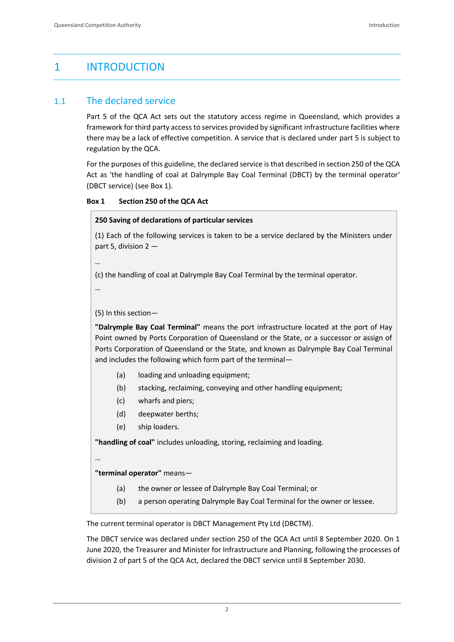## <span id="page-3-0"></span>1 INTRODUCTION

## <span id="page-3-1"></span>1.1 The declared service

Part 5 of the QCA Act sets out the statutory access regime in Queensland, which provides a framework for third party access to services provided by significant infrastructure facilities where there may be a lack of effective competition. A service that is declared under part 5 is subject to regulation by the QCA.

For the purposes of this guideline, the declared service is that described in section 250 of the QCA Act as 'the handling of coal at Dalrymple Bay Coal Terminal (DBCT) by the terminal operator' (DBCT service) (see Box 1).

```
Box 1 Section 250 of the QCA Act
```
#### **250 Saving of declarations of particular services**

(1) Each of the following services is taken to be a service declared by the Ministers under part 5, division 2 —

…

(c) the handling of coal at Dalrymple Bay Coal Terminal by the terminal operator.

…

(5) In this section—

**"Dalrymple Bay Coal Terminal"** means the port infrastructure located at the port of Hay Point owned by Ports Corporation of Queensland or the State, or a successor or assign of Ports Corporation of Queensland or the State, and known as Dalrymple Bay Coal Terminal and includes the following which form part of the terminal—

- (a) loading and unloading equipment;
- (b) stacking, reclaiming, conveying and other handling equipment;
- (c) wharfs and piers;
- (d) deepwater berths;
- (e) ship loaders.

**"handling of coal"** includes unloading, storing, reclaiming and loading.

…

#### **"terminal operator"** means—

- (a) the owner or lessee of Dalrymple Bay Coal Terminal; or
- (b) a person operating Dalrymple Bay Coal Terminal for the owner or lessee.

The current terminal operator is DBCT Management Pty Ltd (DBCTM).

The DBCT service was declared under section 250 of the QCA Act until 8 September 2020. On 1 June 2020, the Treasurer and Minister for Infrastructure and Planning, following the processes of division 2 of part 5 of the QCA Act, declared the DBCT service until 8 September 2030.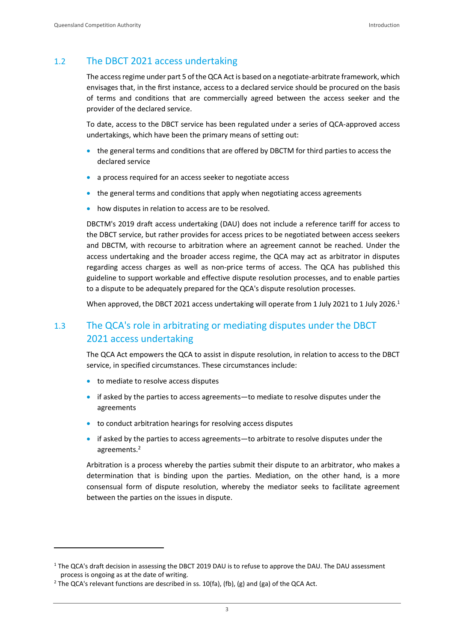## <span id="page-4-0"></span>1.2 The DBCT 2021 access undertaking

The access regime under part 5 of the QCA Act is based on a negotiate-arbitrate framework, which envisages that, in the first instance, access to a declared service should be procured on the basis of terms and conditions that are commercially agreed between the access seeker and the provider of the declared service.

To date, access to the DBCT service has been regulated under a series of QCA-approved access undertakings, which have been the primary means of setting out:

- the general terms and conditions that are offered by DBCTM for third parties to access the declared service
- a process required for an access seeker to negotiate access
- the general terms and conditions that apply when negotiating access agreements
- how disputes in relation to access are to be resolved.

DBCTM's 2019 draft access undertaking (DAU) does not include a reference tariff for access to the DBCT service, but rather provides for access prices to be negotiated between access seekers and DBCTM, with recourse to arbitration where an agreement cannot be reached. Under the access undertaking and the broader access regime, the QCA may act as arbitrator in disputes regarding access charges as well as non-price terms of access. The QCA has published this guideline to support workable and effective dispute resolution processes, and to enable parties to a dispute to be adequately prepared for the QCA's dispute resolution processes.

When approved, the DBCT 2021 access undertaking will operate from 1 July 2021 to 1 July 2026.<sup>1</sup>

## <span id="page-4-1"></span>1.3 The QCA's role in arbitrating or mediating disputes under the DBCT 2021 access undertaking

The QCA Act empowers the QCA to assist in dispute resolution, in relation to access to the DBCT service, in specified circumstances. These circumstances include:

- to mediate to resolve access disputes
- if asked by the parties to access agreements—to mediate to resolve disputes under the agreements
- to conduct arbitration hearings for resolving access disputes
- if asked by the parties to access agreements—to arbitrate to resolve disputes under the agreements.<sup>2</sup>

Arbitration is a process whereby the parties submit their dispute to an arbitrator, who makes a determination that is binding upon the parties. Mediation, on the other hand, is a more consensual form of dispute resolution, whereby the mediator seeks to facilitate agreement between the parties on the issues in dispute.

<sup>&</sup>lt;sup>1</sup> The QCA's draft decision in assessing the DBCT 2019 DAU is to refuse to approve the DAU. The DAU assessment process is ongoing as at the date of writing.

 $2$  The QCA's relevant functions are described in ss. 10(fa), (fb), (g) and (ga) of the QCA Act.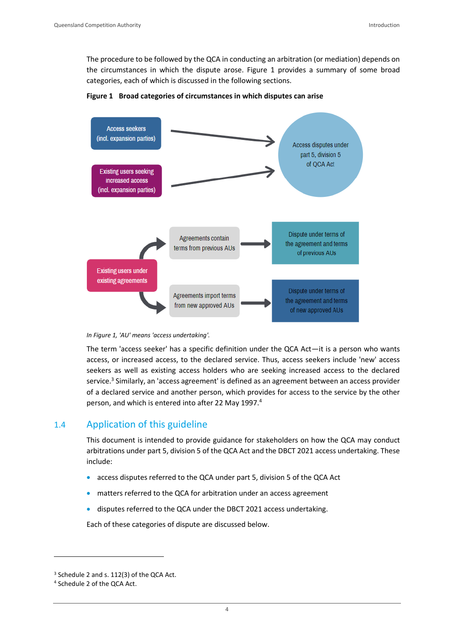The procedure to be followed by the QCA in conducting an arbitration (or mediation) depends on the circumstances in which the dispute arose. Figure 1 provides a summary of some broad categories, each of which is discussed in the following sections.







The term 'access seeker' has a specific definition under the QCA Act—it is a person who wants access, or increased access, to the declared service. Thus, access seekers include 'new' access seekers as well as existing access holders who are seeking increased access to the declared service.<sup>3</sup> Similarly, an 'access agreement' is defined as an agreement between an access provider of a declared service and another person, which provides for access to the service by the other person, and which is entered into after 22 May 1997.<sup>4</sup>

## <span id="page-5-0"></span>1.4 Application of this guideline

This document is intended to provide guidance for stakeholders on how the QCA may conduct arbitrations under part 5, division 5 of the QCA Act and the DBCT 2021 access undertaking. These include:

- access disputes referred to the QCA under part 5, division 5 of the QCA Act
- matters referred to the QCA for arbitration under an access agreement
- disputes referred to the QCA under the DBCT 2021 access undertaking.

Each of these categories of dispute are discussed below.

<sup>&</sup>lt;sup>3</sup> Schedule 2 and s. 112(3) of the QCA Act.

<sup>4</sup> Schedule 2 of the QCA Act.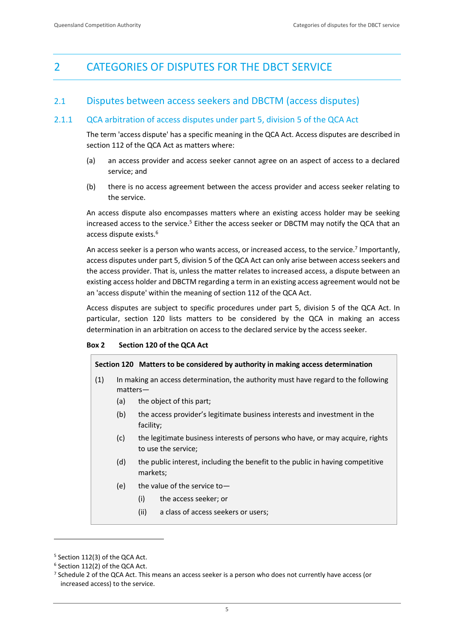## <span id="page-6-0"></span>2 CATEGORIES OF DISPUTES FOR THE DBCT SERVICE

## <span id="page-6-1"></span>2.1 Disputes between access seekers and DBCTM (access disputes)

## 2.1.1 QCA arbitration of access disputes under part 5, division 5 of the QCA Act

The term 'access dispute' has a specific meaning in the QCA Act. Access disputes are described in section 112 of the QCA Act as matters where:

- (a) an access provider and access seeker cannot agree on an aspect of access to a declared service; and
- (b) there is no access agreement between the access provider and access seeker relating to the service.

An access dispute also encompasses matters where an existing access holder may be seeking increased access to the service.<sup>5</sup> Either the access seeker or DBCTM may notify the QCA that an access dispute exists.<sup>6</sup>

An access seeker is a person who wants access, or increased access, to the service.<sup>7</sup> Importantly, access disputes under part 5, division 5 of the QCA Act can only arise between access seekers and the access provider. That is, unless the matter relates to increased access, a dispute between an existing access holder and DBCTM regarding a term in an existing access agreement would not be an 'access dispute' within the meaning of section 112 of the QCA Act.

Access disputes are subject to specific procedures under part 5, division 5 of the QCA Act. In particular, section 120 lists matters to be considered by the QCA in making an access determination in an arbitration on access to the declared service by the access seeker.

## **Box 2 Section 120 of the QCA Act**

## **Section 120 Matters to be considered by authority in making access determination**

- (1) In making an access determination, the authority must have regard to the following matters—
	- (a) the object of this part;
	- (b) the access provider's legitimate business interests and investment in the facility;
	- (c) the legitimate business interests of persons who have, or may acquire, rights to use the service;
	- (d) the public interest, including the benefit to the public in having competitive markets;
	- (e) the value of the service to—
		- (i) the access seeker; or
		- (ii) a class of access seekers or users;

<sup>5</sup> Section 112(3) of the QCA Act.

<sup>6</sup> Section 112(2) of the QCA Act.

<sup>7</sup> Schedule 2 of the QCA Act. This means an access seeker is a person who does not currently have access (or increased access) to the service.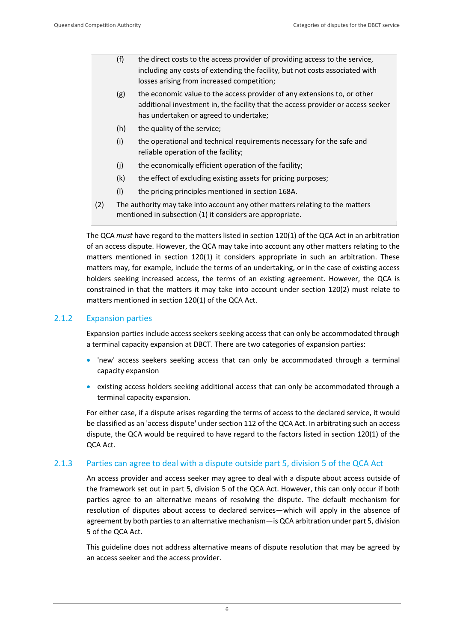- (f) the direct costs to the access provider of providing access to the service, including any costs of extending the facility, but not costs associated with losses arising from increased competition;
- (g) the economic value to the access provider of any extensions to, or other additional investment in, the facility that the access provider or access seeker has undertaken or agreed to undertake;
- (h) the quality of the service:
- (i) the operational and technical requirements necessary for the safe and reliable operation of the facility;
- (j) the economically efficient operation of the facility;
- (k) the effect of excluding existing assets for pricing purposes;
- (l) the pricing principles mentioned in section 168A.
- (2) The authority may take into account any other matters relating to the matters mentioned in subsection (1) it considers are appropriate.

The QCA *must* have regard to the matters listed in section 120(1) of the QCA Act in an arbitration of an access dispute. However, the QCA may take into account any other matters relating to the matters mentioned in section 120(1) it considers appropriate in such an arbitration. These matters may, for example, include the terms of an undertaking, or in the case of existing access holders seeking increased access, the terms of an existing agreement. However, the QCA is constrained in that the matters it may take into account under section 120(2) must relate to matters mentioned in section 120(1) of the QCA Act.

## 2.1.2 Expansion parties

Expansion parties include access seekers seeking access that can only be accommodated through a terminal capacity expansion at DBCT. There are two categories of expansion parties:

- 'new' access seekers seeking access that can only be accommodated through a terminal capacity expansion
- existing access holders seeking additional access that can only be accommodated through a terminal capacity expansion.

For either case, if a dispute arises regarding the terms of access to the declared service, it would be classified as an 'access dispute' under section 112 of the QCA Act. In arbitrating such an access dispute, the QCA would be required to have regard to the factors listed in section 120(1) of the QCA Act.

## 2.1.3 Parties can agree to deal with a dispute outside part 5, division 5 of the QCA Act

An access provider and access seeker may agree to deal with a dispute about access outside of the framework set out in part 5, division 5 of the QCA Act. However, this can only occur if both parties agree to an alternative means of resolving the dispute. The default mechanism for resolution of disputes about access to declared services—which will apply in the absence of agreement by both parties to an alternative mechanism—is QCA arbitration under part 5, division 5 of the QCA Act.

This guideline does not address alternative means of dispute resolution that may be agreed by an access seeker and the access provider.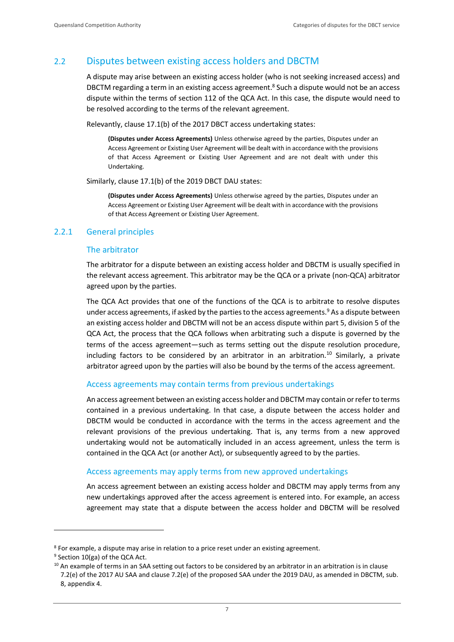## <span id="page-8-0"></span>2.2 Disputes between existing access holders and DBCTM

A dispute may arise between an existing access holder (who is not seeking increased access) and DBCTM regarding a term in an existing access agreement.<sup>8</sup> Such a dispute would not be an access dispute within the terms of section 112 of the QCA Act. In this case, the dispute would need to be resolved according to the terms of the relevant agreement.

Relevantly, clause 17.1(b) of the 2017 DBCT access undertaking states:

**(Disputes under Access Agreements)** Unless otherwise agreed by the parties, Disputes under an Access Agreement or Existing User Agreement will be dealt with in accordance with the provisions of that Access Agreement or Existing User Agreement and are not dealt with under this Undertaking.

Similarly, clause 17.1(b) of the 2019 DBCT DAU states:

**(Disputes under Access Agreements)** Unless otherwise agreed by the parties, Disputes under an Access Agreement or Existing User Agreement will be dealt with in accordance with the provisions of that Access Agreement or Existing User Agreement.

## 2.2.1 General principles

#### The arbitrator

The arbitrator for a dispute between an existing access holder and DBCTM is usually specified in the relevant access agreement. This arbitrator may be the QCA or a private (non-QCA) arbitrator agreed upon by the parties.

The QCA Act provides that one of the functions of the QCA is to arbitrate to resolve disputes under access agreements, if asked by the parties to the access agreements.<sup>9</sup> As a dispute between an existing access holder and DBCTM will not be an access dispute within part 5, division 5 of the QCA Act, the process that the QCA follows when arbitrating such a dispute is governed by the terms of the access agreement—such as terms setting out the dispute resolution procedure, including factors to be considered by an arbitrator in an arbitration.<sup>10</sup> Similarly, a private arbitrator agreed upon by the parties will also be bound by the terms of the access agreement.

#### Access agreements may contain terms from previous undertakings

An access agreement between an existing access holder and DBCTM may contain or refer to terms contained in a previous undertaking. In that case, a dispute between the access holder and DBCTM would be conducted in accordance with the terms in the access agreement and the relevant provisions of the previous undertaking. That is, any terms from a new approved undertaking would not be automatically included in an access agreement, unless the term is contained in the QCA Act (or another Act), or subsequently agreed to by the parties.

#### Access agreements may apply terms from new approved undertakings

An access agreement between an existing access holder and DBCTM may apply terms from any new undertakings approved after the access agreement is entered into. For example, an access agreement may state that a dispute between the access holder and DBCTM will be resolved

<sup>8</sup> For example, a dispute may arise in relation to a price reset under an existing agreement.

<sup>9</sup> Section 10(ga) of the QCA Act.

 $10$  An example of terms in an SAA setting out factors to be considered by an arbitrator in an arbitration is in clause 7.2(e) of the 2017 AU SAA and clause 7.2(e) of the proposed SAA under the 2019 DAU, as amended in DBCTM, sub. 8, appendix 4.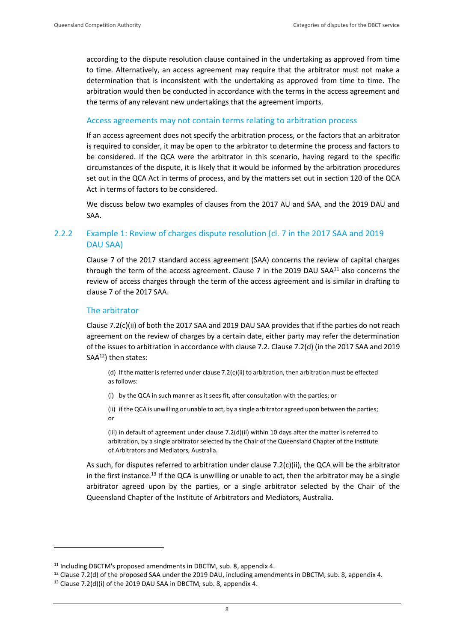according to the dispute resolution clause contained in the undertaking as approved from time to time. Alternatively, an access agreement may require that the arbitrator must not make a determination that is inconsistent with the undertaking as approved from time to time. The arbitration would then be conducted in accordance with the terms in the access agreement and the terms of any relevant new undertakings that the agreement imports.

## Access agreements may not contain terms relating to arbitration process

If an access agreement does not specify the arbitration process, or the factors that an arbitrator is required to consider, it may be open to the arbitrator to determine the process and factors to be considered. If the QCA were the arbitrator in this scenario, having regard to the specific circumstances of the dispute, it is likely that it would be informed by the arbitration procedures set out in the QCA Act in terms of process, and by the matters set out in section 120 of the QCA Act in terms of factors to be considered.

We discuss below two examples of clauses from the 2017 AU and SAA, and the 2019 DAU and SAA.

## 2.2.2 Example 1: Review of charges dispute resolution (cl. 7 in the 2017 SAA and 2019 DAU SAA)

Clause 7 of the 2017 standard access agreement (SAA) concerns the review of capital charges through the term of the access agreement. Clause 7 in the 2019 DAU SAA $^{11}$  also concerns the review of access charges through the term of the access agreement and is similar in drafting to clause 7 of the 2017 SAA.

#### The arbitrator

Clause 7.2(c)(ii) of both the 2017 SAA and 2019 DAU SAA provides that if the parties do not reach agreement on the review of charges by a certain date, either party may refer the determination of the issues to arbitration in accordance with clause 7.2. Clause 7.2(d) (in the 2017 SAA and 2019  $SAA<sup>12</sup>$ ) then states:

(d) If the matter is referred under clause 7.2(c)(ii) to arbitration, then arbitration must be effected as follows:

(i) by the QCA in such manner as it sees fit, after consultation with the parties; or

(ii) if the QCA is unwilling or unable to act, by a single arbitrator agreed upon between the parties; or

(iii) in default of agreement under clause 7.2(d)(ii) within 10 days after the matter is referred to arbitration, by a single arbitrator selected by the Chair of the Queensland Chapter of the Institute of Arbitrators and Mediators, Australia.

As such, for disputes referred to arbitration under clause 7.2(c)(ii), the QCA will be the arbitrator in the first instance.<sup>13</sup> If the QCA is unwilling or unable to act, then the arbitrator may be a single arbitrator agreed upon by the parties, or a single arbitrator selected by the Chair of the Queensland Chapter of the Institute of Arbitrators and Mediators, Australia.

<sup>&</sup>lt;sup>11</sup> Including DBCTM's proposed amendments in DBCTM, sub. 8, appendix 4.

<sup>&</sup>lt;sup>12</sup> Clause 7.2(d) of the proposed SAA under the 2019 DAU, including amendments in DBCTM, sub. 8, appendix 4.

<sup>&</sup>lt;sup>13</sup> Clause 7.2(d)(i) of the 2019 DAU SAA in DBCTM, sub. 8, appendix 4.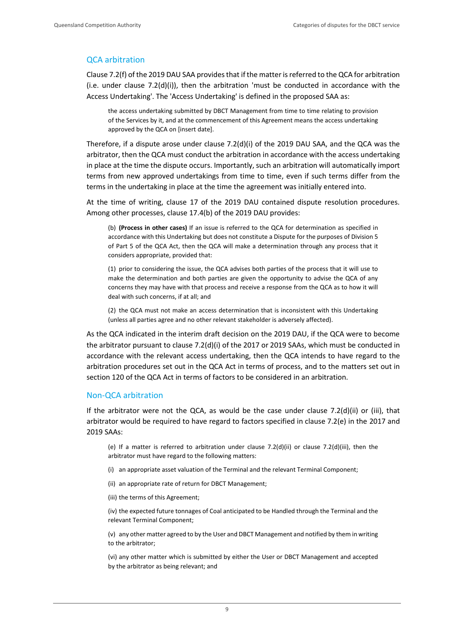#### QCA arbitration

Clause 7.2(f) of the 2019 DAU SAA provides that if the matter is referred to the QCA for arbitration (i.e. under clause 7.2(d)(i)), then the arbitration 'must be conducted in accordance with the Access Undertaking'. The 'Access Undertaking' is defined in the proposed SAA as:

the access undertaking submitted by DBCT Management from time to time relating to provision of the Services by it, and at the commencement of this Agreement means the access undertaking approved by the QCA on [insert date].

Therefore, if a dispute arose under clause  $7.2(d)(i)$  of the 2019 DAU SAA, and the QCA was the arbitrator, then the QCA must conduct the arbitration in accordance with the access undertaking in place at the time the dispute occurs. Importantly, such an arbitration will automatically import terms from new approved undertakings from time to time, even if such terms differ from the terms in the undertaking in place at the time the agreement was initially entered into.

At the time of writing, clause 17 of the 2019 DAU contained dispute resolution procedures. Among other processes, clause 17.4(b) of the 2019 DAU provides:

(b) **(Process in other cases)** If an issue is referred to the QCA for determination as specified in accordance with this Undertaking but does not constitute a Dispute for the purposes of Division 5 of Part 5 of the QCA Act, then the QCA will make a determination through any process that it considers appropriate, provided that:

(1) prior to considering the issue, the QCA advises both parties of the process that it will use to make the determination and both parties are given the opportunity to advise the QCA of any concerns they may have with that process and receive a response from the QCA as to how it will deal with such concerns, if at all; and

(2) the QCA must not make an access determination that is inconsistent with this Undertaking (unless all parties agree and no other relevant stakeholder is adversely affected).

As the QCA indicated in the interim draft decision on the 2019 DAU, if the QCA were to become the arbitrator pursuant to clause 7.2(d)(i) of the 2017 or 2019 SAAs, which must be conducted in accordance with the relevant access undertaking, then the QCA intends to have regard to the arbitration procedures set out in the QCA Act in terms of process, and to the matters set out in section 120 of the QCA Act in terms of factors to be considered in an arbitration.

#### Non-QCA arbitration

If the arbitrator were not the QCA, as would be the case under clause 7.2(d)(ii) or (iii), that arbitrator would be required to have regard to factors specified in clause 7.2(e) in the 2017 and 2019 SAAs:

(e) If a matter is referred to arbitration under clause 7.2(d)(ii) or clause 7.2(d)(iii), then the arbitrator must have regard to the following matters:

- (i) an appropriate asset valuation of the Terminal and the relevant Terminal Component;
- (ii) an appropriate rate of return for DBCT Management;
- (iii) the terms of this Agreement;

(iv) the expected future tonnages of Coal anticipated to be Handled through the Terminal and the relevant Terminal Component;

(v) any other matter agreed to by the User and DBCT Management and notified by them in writing to the arbitrator;

(vi) any other matter which is submitted by either the User or DBCT Management and accepted by the arbitrator as being relevant; and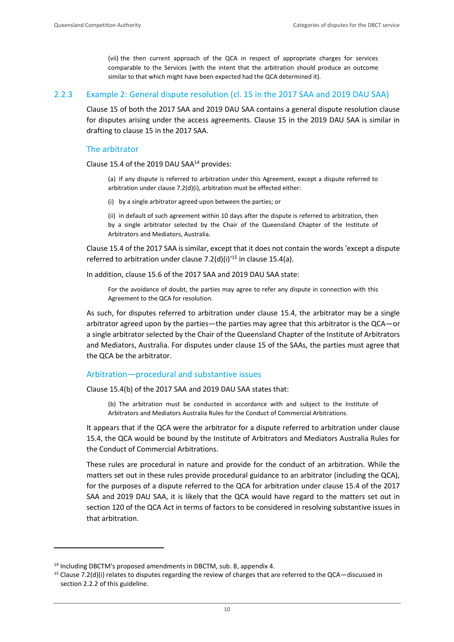(vii) the then current approach of the QCA in respect of appropriate charges for services comparable to the Services (with the intent that the arbitration should produce an outcome similar to that which might have been expected had the QCA determined it).

#### 2.2.3 Example 2: General dispute resolution (cl. 15 in the 2017 SAA and 2019 DAU SAA)

Clause 15 of both the 2017 SAA and 2019 DAU SAA contains a general dispute resolution clause for disputes arising under the access agreements. Clause 15 in the 2019 DAU SAA is similar in drafting to clause 15 in the 2017 SAA.

#### The arbitrator

Clause 15.4 of the 2019 DAU SAA<sup>14</sup> provides:

(a) If any dispute is referred to arbitration under this Agreement, except a dispute referred to arbitration under clause 7.2(d)(i), arbitration must be effected either:

(i) by a single arbitrator agreed upon between the parties; or

(ii) in default of such agreement within 10 days after the dispute is referred to arbitration, then by a single arbitrator selected by the Chair of the Queensland Chapter of the Institute of Arbitrators and Mediators, Australia.

Clause 15.4 of the 2017 SAA is similar, except that it does not contain the words 'except a dispute referred to arbitration under clause 7.2(d)(i)<sup>'15</sup> in clause 15.4(a).

In addition, clause 15.6 of the 2017 SAA and 2019 DAU SAA state:

For the avoidance of doubt, the parties may agree to refer any dispute in connection with this Agreement to the QCA for resolution.

As such, for disputes referred to arbitration under clause 15.4, the arbitrator may be a single arbitrator agreed upon by the parties—the parties may agree that this arbitrator is the QCA—or a single arbitrator selected by the Chair of the Queensland Chapter of the Institute of Arbitrators and Mediators, Australia. For disputes under clause 15 of the SAAs, the parties must agree that the QCA be the arbitrator.

#### Arbitration—procedural and substantive issues

Clause 15.4(b) of the 2017 SAA and 2019 DAU SAA states that:

(b) The arbitration must be conducted in accordance with and subject to the Institute of Arbitrators and Mediators Australia Rules for the Conduct of Commercial Arbitrations.

It appears that if the QCA were the arbitrator for a dispute referred to arbitration under clause 15.4, the QCA would be bound by the Institute of Arbitrators and Mediators Australia Rules for the Conduct of Commercial Arbitrations.

These rules are procedural in nature and provide for the conduct of an arbitration. While the matters set out in these rules provide procedural guidance to an arbitrator (including the QCA), for the purposes of a dispute referred to the QCA for arbitration under clause 15.4 of the 2017 SAA and 2019 DAU SAA, it is likely that the QCA would have regard to the matters set out in section 120 of the QCA Act in terms of factors to be considered in resolving substantive issues in that arbitration.

<sup>&</sup>lt;sup>14</sup> Including DBCTM's proposed amendments in DBCTM, sub. 8, appendix 4.

<sup>&</sup>lt;sup>15</sup> Clause 7.2(d)(i) relates to disputes regarding the review of charges that are referred to the QCA—discussed in section 2.2.2 of this guideline.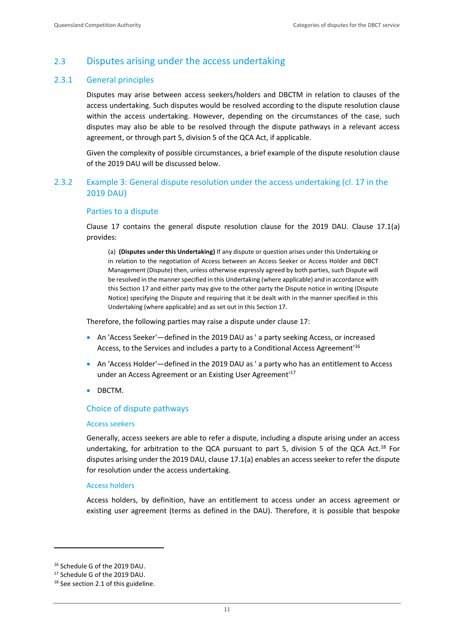## <span id="page-12-0"></span>2.3 Disputes arising under the access undertaking

### 2.3.1 General principles

Disputes may arise between access seekers/holders and DBCTM in relation to clauses of the access undertaking. Such disputes would be resolved according to the dispute resolution clause within the access undertaking. However, depending on the circumstances of the case, such disputes may also be able to be resolved through the dispute pathways in a relevant access agreement, or through part 5, division 5 of the QCA Act, if applicable.

Given the complexity of possible circumstances, a brief example of the dispute resolution clause of the 2019 DAU will be discussed below.

## 2.3.2 Example 3: General dispute resolution under the access undertaking (cl. 17 in the 2019 DAU)

#### Parties to a dispute

Clause 17 contains the general dispute resolution clause for the 2019 DAU. Clause 17.1(a) provides:

(a) **(Disputes under this Undertaking)** If any dispute or question arises under this Undertaking or in relation to the negotiation of Access between an Access Seeker or Access Holder and DBCT Management (Dispute) then, unless otherwise expressly agreed by both parties, such Dispute will be resolved in the manner specified in this Undertaking (where applicable) and in accordance with this Section 17 and either party may give to the other party the Dispute notice in writing (Dispute Notice) specifying the Dispute and requiring that it be dealt with in the manner specified in this Undertaking (where applicable) and as set out in this Section 17.

Therefore, the following parties may raise a dispute under clause 17:

- An 'Access Seeker'—defined in the 2019 DAU as ' a party seeking Access, or increased Access, to the Services and includes a party to a Conditional Access Agreement<sup>116</sup>
- An 'Access Holder'—defined in the 2019 DAU as ' a party who has an entitlement to Access under an Access Agreement or an Existing User Agreement' 17
- DBCTM.

## Choice of dispute pathways

#### Access seekers

Generally, access seekers are able to refer a dispute, including a dispute arising under an access undertaking, for arbitration to the QCA pursuant to part 5, division 5 of the QCA Act.<sup>18</sup> For disputes arising under the 2019 DAU, clause 17.1(a) enables an access seeker to refer the dispute for resolution under the access undertaking.

#### Access holders

Access holders, by definition, have an entitlement to access under an access agreement or existing user agreement (terms as defined in the DAU). Therefore, it is possible that bespoke

<sup>16</sup> Schedule G of the 2019 DAU.

<sup>17</sup> Schedule G of the 2019 DAU.

<sup>&</sup>lt;sup>18</sup> See section 2.1 of this guideline.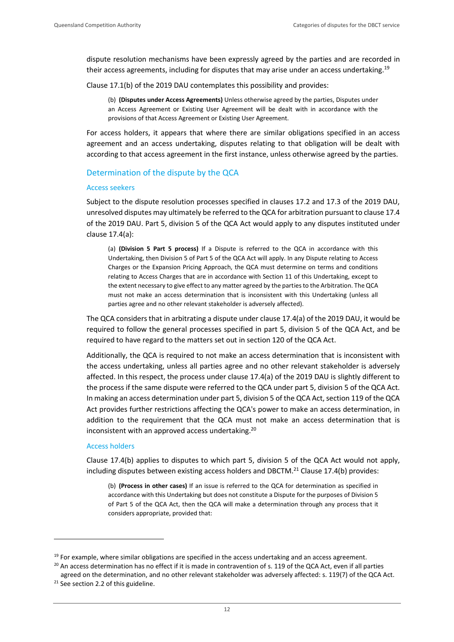dispute resolution mechanisms have been expressly agreed by the parties and are recorded in their access agreements, including for disputes that may arise under an access undertaking.<sup>19</sup>

Clause 17.1(b) of the 2019 DAU contemplates this possibility and provides:

(b) **(Disputes under Access Agreements)** Unless otherwise agreed by the parties, Disputes under an Access Agreement or Existing User Agreement will be dealt with in accordance with the provisions of that Access Agreement or Existing User Agreement.

For access holders, it appears that where there are similar obligations specified in an access agreement and an access undertaking, disputes relating to that obligation will be dealt with according to that access agreement in the first instance, unless otherwise agreed by the parties.

#### Determination of the dispute by the QCA

#### Access seekers

Subject to the dispute resolution processes specified in clauses 17.2 and 17.3 of the 2019 DAU, unresolved disputes may ultimately be referred to the QCA for arbitration pursuant to clause 17.4 of the 2019 DAU. Part 5, division 5 of the QCA Act would apply to any disputes instituted under clause 17.4(a):

(a) **(Division 5 Part 5 process)** If a Dispute is referred to the QCA in accordance with this Undertaking, then Division 5 of Part 5 of the QCA Act will apply. In any Dispute relating to Access Charges or the Expansion Pricing Approach, the QCA must determine on terms and conditions relating to Access Charges that are in accordance with Section 11 of this Undertaking, except to the extent necessary to give effect to any matter agreed by the parties to the Arbitration. The QCA must not make an access determination that is inconsistent with this Undertaking (unless all parties agree and no other relevant stakeholder is adversely affected).

The QCA considers that in arbitrating a dispute under clause 17.4(a) of the 2019 DAU, it would be required to follow the general processes specified in part 5, division 5 of the QCA Act, and be required to have regard to the matters set out in section 120 of the QCA Act.

Additionally, the QCA is required to not make an access determination that is inconsistent with the access undertaking, unless all parties agree and no other relevant stakeholder is adversely affected. In this respect, the process under clause 17.4(a) of the 2019 DAU is slightly different to the process if the same dispute were referred to the QCA under part 5, division 5 of the QCA Act. In making an access determination under part 5, division 5 of the QCA Act, section 119 of the QCA Act provides further restrictions affecting the QCA's power to make an access determination, in addition to the requirement that the QCA must not make an access determination that is inconsistent with an approved access undertaking. 20

#### Access holders

Clause 17.4(b) applies to disputes to which part 5, division 5 of the QCA Act would not apply, including disputes between existing access holders and DBCTM.<sup>21</sup> Clause 17.4(b) provides:

(b) **(Process in other cases)** If an issue is referred to the QCA for determination as specified in accordance with this Undertaking but does not constitute a Dispute for the purposes of Division 5 of Part 5 of the QCA Act, then the QCA will make a determination through any process that it considers appropriate, provided that:

 $19$  For example, where similar obligations are specified in the access undertaking and an access agreement.

<sup>&</sup>lt;sup>20</sup> An access determination has no effect if it is made in contravention of s. 119 of the QCA Act, even if all parties

agreed on the determination, and no other relevant stakeholder was adversely affected: s. 119(7) of the QCA Act.

<sup>&</sup>lt;sup>21</sup> See section 2.2 of this guideline.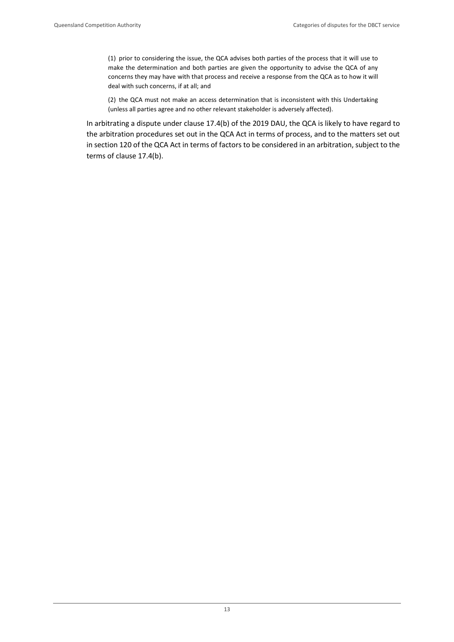(1) prior to considering the issue, the QCA advises both parties of the process that it will use to make the determination and both parties are given the opportunity to advise the QCA of any concerns they may have with that process and receive a response from the QCA as to how it will deal with such concerns, if at all; and

(2) the QCA must not make an access determination that is inconsistent with this Undertaking (unless all parties agree and no other relevant stakeholder is adversely affected).

In arbitrating a dispute under clause 17.4(b) of the 2019 DAU, the QCA is likely to have regard to the arbitration procedures set out in the QCA Act in terms of process, and to the matters set out in section 120 of the QCA Act in terms of factors to be considered in an arbitration, subject to the terms of clause 17.4(b).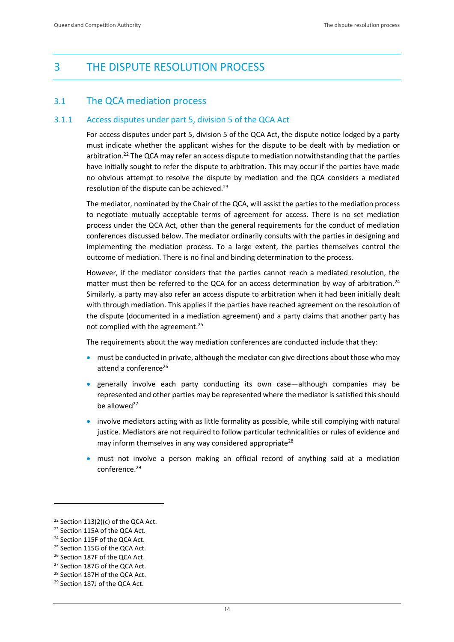## <span id="page-15-0"></span>3 THE DISPUTE RESOLUTION PROCESS

## <span id="page-15-1"></span>3.1 The QCA mediation process

## 3.1.1 Access disputes under part 5, division 5 of the QCA Act

For access disputes under part 5, division 5 of the QCA Act, the dispute notice lodged by a party must indicate whether the applicant wishes for the dispute to be dealt with by mediation or arbitration.<sup>22</sup> The QCA may refer an access dispute to mediation notwithstanding that the parties have initially sought to refer the dispute to arbitration. This may occur if the parties have made no obvious attempt to resolve the dispute by mediation and the QCA considers a mediated resolution of the dispute can be achieved.<sup>23</sup>

The mediator, nominated by the Chair of the QCA, will assist the parties to the mediation process to negotiate mutually acceptable terms of agreement for access. There is no set mediation process under the QCA Act, other than the general requirements for the conduct of mediation conferences discussed below. The mediator ordinarily consults with the parties in designing and implementing the mediation process. To a large extent, the parties themselves control the outcome of mediation. There is no final and binding determination to the process.

However, if the mediator considers that the parties cannot reach a mediated resolution, the matter must then be referred to the QCA for an access determination by way of arbitration.<sup>24</sup> Similarly, a party may also refer an access dispute to arbitration when it had been initially dealt with through mediation. This applies if the parties have reached agreement on the resolution of the dispute (documented in a mediation agreement) and a party claims that another party has not complied with the agreement.<sup>25</sup>

The requirements about the way mediation conferences are conducted include that they:

- must be conducted in private, although the mediator can give directions about those who may attend a conference<sup>26</sup>
- generally involve each party conducting its own case—although companies may be represented and other parties may be represented where the mediator is satisfied this should be allowed $^{27}$
- involve mediators acting with as little formality as possible, while still complying with natural justice. Mediators are not required to follow particular technicalities or rules of evidence and may inform themselves in any way considered appropriate<sup>28</sup>
- must not involve a person making an official record of anything said at a mediation conference.<sup>29</sup>

<sup>&</sup>lt;sup>22</sup> Section 113(2)(c) of the QCA Act.

<sup>&</sup>lt;sup>23</sup> Section 115A of the QCA Act.

<sup>24</sup> Section 115F of the QCA Act.

<sup>&</sup>lt;sup>25</sup> Section 115G of the OCA Act.

<sup>26</sup> Section 187F of the QCA Act.

<sup>27</sup> Section 187G of the QCA Act.

<sup>&</sup>lt;sup>28</sup> Section 187H of the QCA Act.

<sup>&</sup>lt;sup>29</sup> Section 187J of the QCA Act.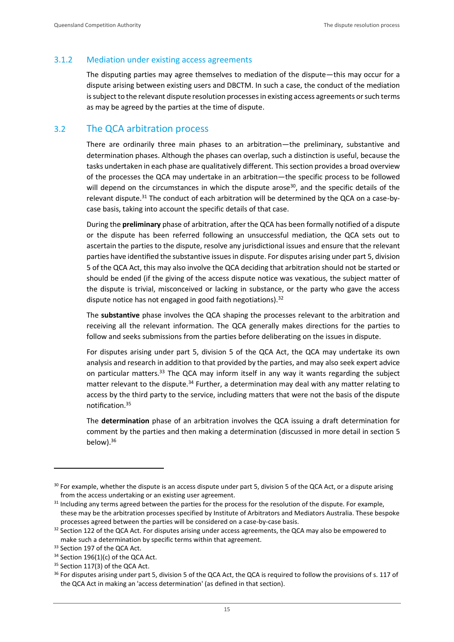## 3.1.2 Mediation under existing access agreements

The disputing parties may agree themselves to mediation of the dispute—this may occur for a dispute arising between existing users and DBCTM. In such a case, the conduct of the mediation is subject to the relevant dispute resolution processes in existing access agreements or such terms as may be agreed by the parties at the time of dispute.

## <span id="page-16-0"></span>3.2 The QCA arbitration process

There are ordinarily three main phases to an arbitration—the preliminary, substantive and determination phases. Although the phases can overlap, such a distinction is useful, because the tasks undertaken in each phase are qualitatively different. This section provides a broad overview of the processes the QCA may undertake in an arbitration—the specific process to be followed will depend on the circumstances in which the dispute arose<sup>30</sup>, and the specific details of the relevant dispute.<sup>31</sup> The conduct of each arbitration will be determined by the QCA on a case-bycase basis, taking into account the specific details of that case.

During the **preliminary** phase of arbitration, after the QCA has been formally notified of a dispute or the dispute has been referred following an unsuccessful mediation, the QCA sets out to ascertain the parties to the dispute, resolve any jurisdictional issues and ensure that the relevant parties have identified the substantive issues in dispute. For disputes arising under part 5, division 5 of the QCA Act, this may also involve the QCA deciding that arbitration should not be started or should be ended (if the giving of the access dispute notice was vexatious, the subject matter of the dispute is trivial, misconceived or lacking in substance, or the party who gave the access dispute notice has not engaged in good faith negotiations). $32$ 

The **substantive** phase involves the QCA shaping the processes relevant to the arbitration and receiving all the relevant information. The QCA generally makes directions for the parties to follow and seeks submissions from the parties before deliberating on the issues in dispute.

For disputes arising under part 5, division 5 of the QCA Act, the QCA may undertake its own analysis and research in addition to that provided by the parties, and may also seek expert advice on particular matters.<sup>33</sup> The QCA may inform itself in any way it wants regarding the subject matter relevant to the dispute.<sup>34</sup> Further, a determination may deal with any matter relating to access by the third party to the service, including matters that were not the basis of the dispute notification.<sup>35</sup>

The **determination** phase of an arbitration involves the QCA issuing a draft determination for comment by the parties and then making a determination (discussed in more detail in section 5 below). 36

 $30$  For example, whether the dispute is an access dispute under part 5, division 5 of the QCA Act, or a dispute arising from the access undertaking or an existing user agreement.

<sup>&</sup>lt;sup>31</sup> Including any terms agreed between the parties for the process for the resolution of the dispute. For example, these may be the arbitration processes specified by Institute of Arbitrators and Mediators Australia. These bespoke processes agreed between the parties will be considered on a case-by-case basis.

<sup>&</sup>lt;sup>32</sup> Section 122 of the QCA Act. For disputes arising under access agreements, the QCA may also be empowered to make such a determination by specific terms within that agreement.

<sup>&</sup>lt;sup>33</sup> Section 197 of the QCA Act.

 $34$  Section 196(1)(c) of the QCA Act.

<sup>&</sup>lt;sup>35</sup> Section 117(3) of the QCA Act.

<sup>&</sup>lt;sup>36</sup> For disputes arising under part 5, division 5 of the QCA Act, the QCA is required to follow the provisions of s. 117 of the QCA Act in making an 'access determination' (as defined in that section).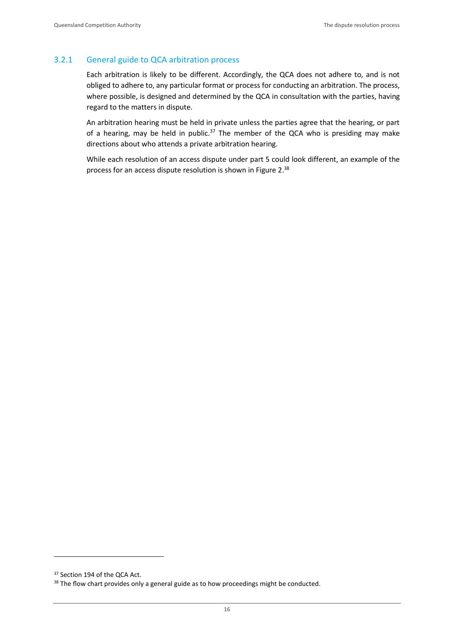## 3.2.1 General guide to QCA arbitration process

Each arbitration is likely to be different. Accordingly, the QCA does not adhere to, and is not obliged to adhere to, any particular format or process for conducting an arbitration. The process, where possible, is designed and determined by the QCA in consultation with the parties, having regard to the matters in dispute.

An arbitration hearing must be held in private unless the parties agree that the hearing, or part of a hearing, may be held in public.<sup>37</sup> The member of the QCA who is presiding may make directions about who attends a private arbitration hearing.

While each resolution of an access dispute under part 5 could look different, an example of the process for an access dispute resolution is shown in Figure 2.<sup>38</sup>

<sup>&</sup>lt;sup>37</sup> Section 194 of the QCA Act.

<sup>&</sup>lt;sup>38</sup> The flow chart provides only a general guide as to how proceedings might be conducted.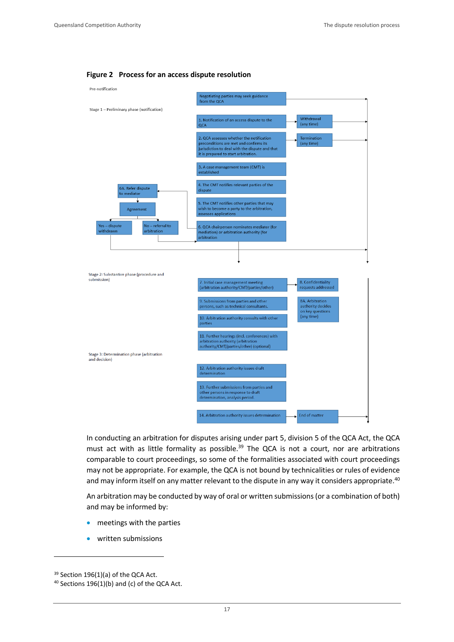#### **Figure 2 Process for an access dispute resolution**



In conducting an arbitration for disputes arising under part 5, division 5 of the QCA Act, the QCA must act with as little formality as possible.<sup>39</sup> The QCA is not a court, nor are arbitrations comparable to court proceedings, so some of the formalities associated with court proceedings may not be appropriate. For example, the QCA is not bound by technicalities or rules of evidence and may inform itself on any matter relevant to the dispute in any way it considers appropriate.<sup>40</sup>

An arbitration may be conducted by way of oral or written submissions (or a combination of both) and may be informed by:

- meetings with the parties
- written submissions

<sup>39</sup> Section 196(1)(a) of the QCA Act.

<sup>40</sup> Sections 196(1)(b) and (c) of the QCA Act.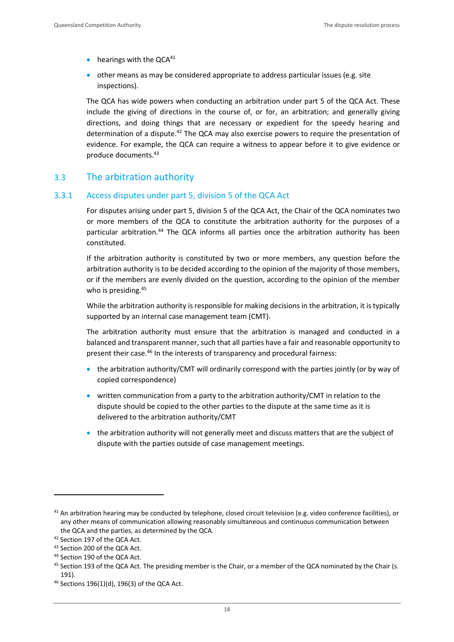- $\bullet$  hearings with the QCA<sup>41</sup>
- other means as may be considered appropriate to address particular issues (e.g. site inspections).

The QCA has wide powers when conducting an arbitration under part 5 of the QCA Act. These include the giving of directions in the course of, or for, an arbitration; and generally giving directions, and doing things that are necessary or expedient for the speedy hearing and determination of a dispute. $42$  The QCA may also exercise powers to require the presentation of evidence. For example, the QCA can require a witness to appear before it to give evidence or produce documents.<sup>43</sup>

## <span id="page-19-0"></span>3.3 The arbitration authority

## 3.3.1 Access disputes under part 5, division 5 of the QCA Act

For disputes arising under part 5, division 5 of the QCA Act, the Chair of the QCA nominates two or more members of the QCA to constitute the arbitration authority for the purposes of a particular arbitration.<sup>44</sup> The QCA informs all parties once the arbitration authority has been constituted.

If the arbitration authority is constituted by two or more members, any question before the arbitration authority is to be decided according to the opinion of the majority of those members, or if the members are evenly divided on the question, according to the opinion of the member who is presiding.<sup>45</sup>

While the arbitration authority is responsible for making decisions in the arbitration, it is typically supported by an internal case management team (CMT).

The arbitration authority must ensure that the arbitration is managed and conducted in a balanced and transparent manner, such that all parties have a fair and reasonable opportunity to present their case.<sup>46</sup> In the interests of transparency and procedural fairness:

- the arbitration authority/CMT will ordinarily correspond with the parties jointly (or by way of copied correspondence)
- written communication from a party to the arbitration authority/CMT in relation to the dispute should be copied to the other parties to the dispute at the same time as it is delivered to the arbitration authority/CMT
- the arbitration authority will not generally meet and discuss matters that are the subject of dispute with the parties outside of case management meetings.

<sup>41</sup> An arbitration hearing may be conducted by telephone, closed circuit television (e.g. video conference facilities), or any other means of communication allowing reasonably simultaneous and continuous communication between the QCA and the parties, as determined by the QCA.

<sup>42</sup> Section 197 of the QCA Act.

<sup>43</sup> Section 200 of the QCA Act.

<sup>44</sup> Section 190 of the QCA Act.

<sup>&</sup>lt;sup>45</sup> Section 193 of the QCA Act. The presiding member is the Chair, or a member of the QCA nominated by the Chair (s. 191).

<sup>46</sup> Sections 196(1)(d), 196(3) of the QCA Act.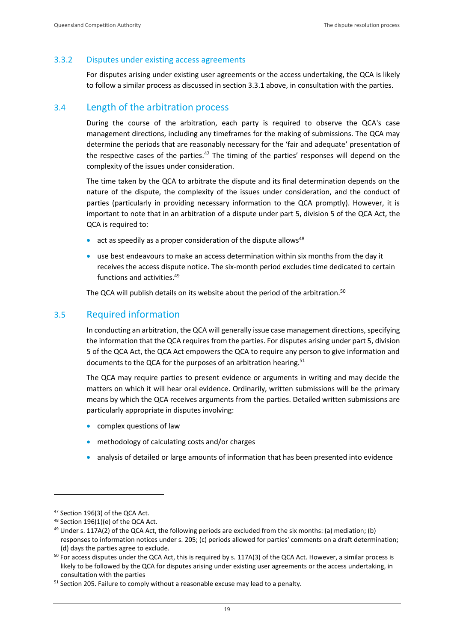## 3.3.2 Disputes under existing access agreements

For disputes arising under existing user agreements or the access undertaking, the QCA is likely to follow a similar process as discussed in section 3.3.1 above, in consultation with the parties.

## <span id="page-20-0"></span>3.4 Length of the arbitration process

During the course of the arbitration, each party is required to observe the QCA's case management directions, including any timeframes for the making of submissions. The QCA may determine the periods that are reasonably necessary for the 'fair and adequate' presentation of the respective cases of the parties.<sup>47</sup> The timing of the parties' responses will depend on the complexity of the issues under consideration.

The time taken by the QCA to arbitrate the dispute and its final determination depends on the nature of the dispute, the complexity of the issues under consideration, and the conduct of parties (particularly in providing necessary information to the QCA promptly). However, it is important to note that in an arbitration of a dispute under part 5, division 5 of the QCA Act, the QCA is required to:

- act as speedily as a proper consideration of the dispute allows<sup>48</sup>
- use best endeavours to make an access determination within six months from the day it receives the access dispute notice. The six-month period excludes time dedicated to certain functions and activities.<sup>49</sup>

The QCA will publish details on its website about the period of the arbitration.<sup>50</sup>

## <span id="page-20-1"></span>3.5 Required information

In conducting an arbitration, the QCA will generally issue case management directions, specifying the information that the QCA requires from the parties. For disputes arising under part 5, division 5 of the QCA Act, the QCA Act empowers the QCA to require any person to give information and documents to the QCA for the purposes of an arbitration hearing.<sup>51</sup>

The QCA may require parties to present evidence or arguments in writing and may decide the matters on which it will hear oral evidence. Ordinarily, written submissions will be the primary means by which the QCA receives arguments from the parties. Detailed written submissions are particularly appropriate in disputes involving:

- complex questions of law
- methodology of calculating costs and/or charges
- analysis of detailed or large amounts of information that has been presented into evidence

<sup>47</sup> Section 196(3) of the QCA Act.

<sup>48</sup> Section 196(1)(e) of the QCA Act.

 $49$  Under s. 117A(2) of the QCA Act, the following periods are excluded from the six months: (a) mediation; (b) responses to information notices under s. 205; (c) periods allowed for parties' comments on a draft determination; (d) days the parties agree to exclude.

 $50$  For access disputes under the QCA Act, this is required by s. 117A(3) of the QCA Act. However, a similar process is likely to be followed by the QCA for disputes arising under existing user agreements or the access undertaking, in consultation with the parties

<sup>&</sup>lt;sup>51</sup> Section 205. Failure to comply without a reasonable excuse may lead to a penalty.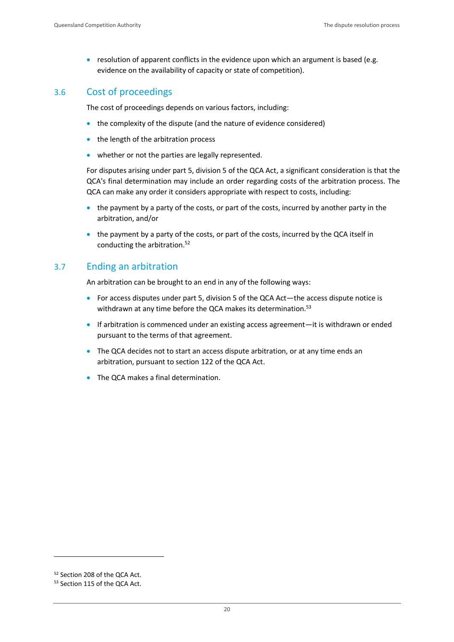• resolution of apparent conflicts in the evidence upon which an argument is based (e.g. evidence on the availability of capacity or state of competition).

## <span id="page-21-0"></span>3.6 Cost of proceedings

The cost of proceedings depends on various factors, including:

- the complexity of the dispute (and the nature of evidence considered)
- the length of the arbitration process
- whether or not the parties are legally represented.

For disputes arising under part 5, division 5 of the QCA Act, a significant consideration is that the QCA's final determination may include an order regarding costs of the arbitration process. The QCA can make any order it considers appropriate with respect to costs, including:

- the payment by a party of the costs, or part of the costs, incurred by another party in the arbitration, and/or
- the payment by a party of the costs, or part of the costs, incurred by the QCA itself in conducting the arbitration.<sup>52</sup>

## <span id="page-21-1"></span>3.7 Ending an arbitration

An arbitration can be brought to an end in any of the following ways:

- For access disputes under part 5, division 5 of the QCA Act—the access dispute notice is withdrawn at any time before the QCA makes its determination.<sup>53</sup>
- If arbitration is commenced under an existing access agreement—it is withdrawn or ended pursuant to the terms of that agreement.
- The QCA decides not to start an access dispute arbitration, or at any time ends an arbitration, pursuant to section 122 of the QCA Act.
- The QCA makes a final determination.

<sup>52</sup> Section 208 of the QCA Act.

<sup>53</sup> Section 115 of the QCA Act.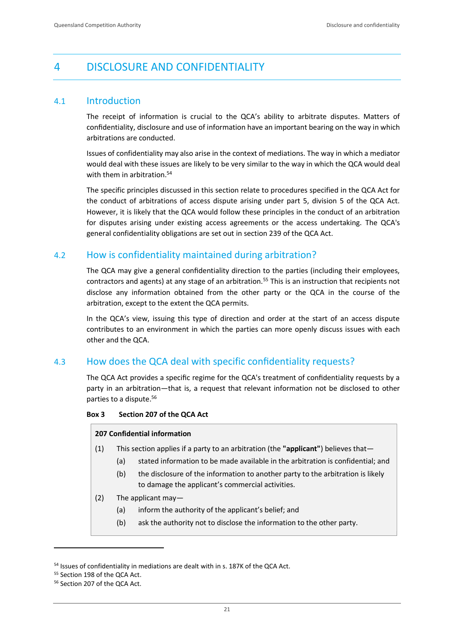## <span id="page-22-0"></span>4 DISCLOSURE AND CONFIDENTIALITY

## <span id="page-22-1"></span>4.1 Introduction

The receipt of information is crucial to the QCA's ability to arbitrate disputes. Matters of confidentiality, disclosure and use of information have an important bearing on the way in which arbitrations are conducted.

Issues of confidentiality may also arise in the context of mediations. The way in which a mediator would deal with these issues are likely to be very similar to the way in which the QCA would deal with them in arbitration.<sup>54</sup>

The specific principles discussed in this section relate to procedures specified in the QCA Act for the conduct of arbitrations of access dispute arising under part 5, division 5 of the QCA Act. However, it is likely that the QCA would follow these principles in the conduct of an arbitration for disputes arising under existing access agreements or the access undertaking. The QCA's general confidentiality obligations are set out in section 239 of the QCA Act.

## <span id="page-22-2"></span>4.2 How is confidentiality maintained during arbitration?

The QCA may give a general confidentiality direction to the parties (including their employees, contractors and agents) at any stage of an arbitration.<sup>55</sup> This is an instruction that recipients not disclose any information obtained from the other party or the QCA in the course of the arbitration, except to the extent the QCA permits.

In the QCA's view, issuing this type of direction and order at the start of an access dispute contributes to an environment in which the parties can more openly discuss issues with each other and the QCA.

## <span id="page-22-3"></span>4.3 How does the QCA deal with specific confidentiality requests?

The QCA Act provides a specific regime for the QCA's treatment of confidentiality requests by a party in an arbitration—that is, a request that relevant information not be disclosed to other parties to a dispute.<sup>56</sup>

#### **Box 3 Section 207 of the QCA Act**

#### **207 Confidential information**

- (1) This section applies if a party to an arbitration (the **"applicant"**) believes that—
	- (a) stated information to be made available in the arbitration is confidential; and
	- (b) the disclosure of the information to another party to the arbitration is likely to damage the applicant's commercial activities.
- (2) The applicant may—
	- (a) inform the authority of the applicant's belief; and
	- (b) ask the authority not to disclose the information to the other party.

<sup>&</sup>lt;sup>54</sup> Issues of confidentiality in mediations are dealt with in s. 187K of the QCA Act.

<sup>55</sup> Section 198 of the QCA Act.

<sup>&</sup>lt;sup>56</sup> Section 207 of the QCA Act.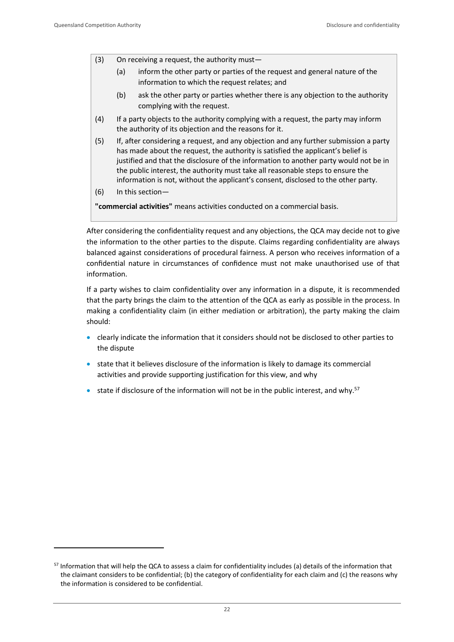- (3) On receiving a request, the authority must—
	- (a) inform the other party or parties of the request and general nature of the information to which the request relates; and
	- (b) ask the other party or parties whether there is any objection to the authority complying with the request.
- (4) If a party objects to the authority complying with a request, the party may inform the authority of its objection and the reasons for it.
- (5) If, after considering a request, and any objection and any further submission a party has made about the request, the authority is satisfied the applicant's belief is justified and that the disclosure of the information to another party would not be in the public interest, the authority must take all reasonable steps to ensure the information is not, without the applicant's consent, disclosed to the other party.
- (6) In this section—

**"commercial activities"** means activities conducted on a commercial basis.

After considering the confidentiality request and any objections, the QCA may decide not to give the information to the other parties to the dispute. Claims regarding confidentiality are always balanced against considerations of procedural fairness. A person who receives information of a confidential nature in circumstances of confidence must not make unauthorised use of that information.

If a party wishes to claim confidentiality over any information in a dispute, it is recommended that the party brings the claim to the attention of the QCA as early as possible in the process. In making a confidentiality claim (in either mediation or arbitration), the party making the claim should:

- clearly indicate the information that it considers should not be disclosed to other parties to the dispute
- state that it believes disclosure of the information is likely to damage its commercial activities and provide supporting justification for this view, and why
- state if disclosure of the information will not be in the public interest, and why.<sup>57</sup>

<sup>57</sup> Information that will help the QCA to assess a claim for confidentiality includes (a) details of the information that the claimant considers to be confidential; (b) the category of confidentiality for each claim and (c) the reasons why the information is considered to be confidential.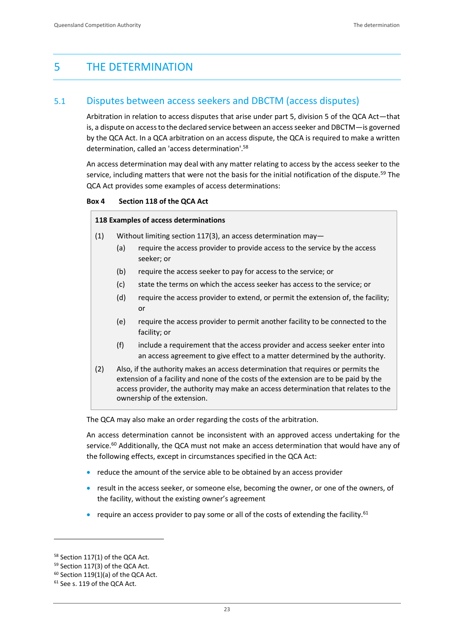## <span id="page-24-0"></span>5 THE DETERMINATION

## <span id="page-24-1"></span>5.1 Disputes between access seekers and DBCTM (access disputes)

Arbitration in relation to access disputes that arise under part 5, division 5 of the QCA Act—that is, a dispute on access to the declared service between an access seeker and DBCTM—is governed by the QCA Act. In a QCA arbitration on an access dispute, the QCA is required to make a written determination, called an 'access determination'.<sup>58</sup>

An access determination may deal with any matter relating to access by the access seeker to the service, including matters that were not the basis for the initial notification of the dispute.<sup>59</sup> The QCA Act provides some examples of access determinations:

#### **Box 4 Section 118 of the QCA Act**

#### **118 Examples of access determinations**

- (1) Without limiting section 117(3), an access determination may—
	- (a) require the access provider to provide access to the service by the access seeker; or
	- (b) require the access seeker to pay for access to the service; or
	- (c) state the terms on which the access seeker has access to the service; or
	- (d) require the access provider to extend, or permit the extension of, the facility; or
	- (e) require the access provider to permit another facility to be connected to the facility; or
	- (f) include a requirement that the access provider and access seeker enter into an access agreement to give effect to a matter determined by the authority.
- (2) Also, if the authority makes an access determination that requires or permits the extension of a facility and none of the costs of the extension are to be paid by the access provider, the authority may make an access determination that relates to the ownership of the extension.

The QCA may also make an order regarding the costs of the arbitration.

An access determination cannot be inconsistent with an approved access undertaking for the service.<sup>60</sup> Additionally, the QCA must not make an access determination that would have any of the following effects, except in circumstances specified in the QCA Act:

- reduce the amount of the service able to be obtained by an access provider
- result in the access seeker, or someone else, becoming the owner, or one of the owners, of the facility, without the existing owner's agreement
- require an access provider to pay some or all of the costs of extending the facility.<sup>61</sup>

<sup>58</sup> Section 117(1) of the QCA Act.

<sup>59</sup> Section 117(3) of the QCA Act.

 $60$  Section 119(1)(a) of the QCA Act.

<sup>&</sup>lt;sup>61</sup> See s. 119 of the QCA Act.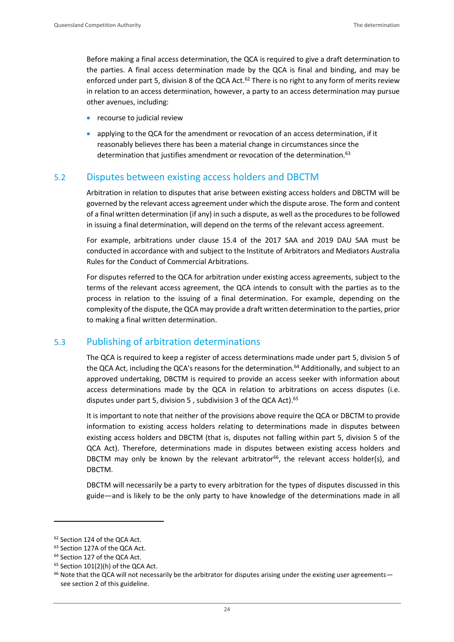Before making a final access determination, the QCA is required to give a draft determination to the parties. A final access determination made by the QCA is final and binding, and may be enforced under part 5, division 8 of the QCA Act.<sup>62</sup> There is no right to any form of merits review in relation to an access determination, however, a party to an access determination may pursue other avenues, including:

- recourse to judicial review
- applying to the QCA for the amendment or revocation of an access determination, if it reasonably believes there has been a material change in circumstances since the determination that justifies amendment or revocation of the determination.<sup>63</sup>

## <span id="page-25-0"></span>5.2 Disputes between existing access holders and DBCTM

Arbitration in relation to disputes that arise between existing access holders and DBCTM will be governed by the relevant access agreement under which the dispute arose. The form and content of a final written determination (if any) in such a dispute, as well as the procedures to be followed in issuing a final determination, will depend on the terms of the relevant access agreement.

For example, arbitrations under clause 15.4 of the 2017 SAA and 2019 DAU SAA must be conducted in accordance with and subject to the Institute of Arbitrators and Mediators Australia Rules for the Conduct of Commercial Arbitrations.

For disputes referred to the QCA for arbitration under existing access agreements, subject to the terms of the relevant access agreement, the QCA intends to consult with the parties as to the process in relation to the issuing of a final determination. For example, depending on the complexity of the dispute, the QCA may provide a draft written determination to the parties, prior to making a final written determination.

## <span id="page-25-1"></span>5.3 Publishing of arbitration determinations

The QCA is required to keep a register of access determinations made under part 5, division 5 of the QCA Act, including the QCA's reasons for the determination.<sup>64</sup> Additionally, and subject to an approved undertaking, DBCTM is required to provide an access seeker with information about access determinations made by the QCA in relation to arbitrations on access disputes (i.e. disputes under part 5, division 5, subdivision 3 of the QCA Act).<sup>65</sup>

It is important to note that neither of the provisions above require the QCA or DBCTM to provide information to existing access holders relating to determinations made in disputes between existing access holders and DBCTM (that is, disputes not falling within part 5, division 5 of the QCA Act). Therefore, determinations made in disputes between existing access holders and DBCTM may only be known by the relevant arbitrator<sup>66</sup>, the relevant access holder(s), and DBCTM.

DBCTM will necessarily be a party to every arbitration for the types of disputes discussed in this guide—and is likely to be the only party to have knowledge of the determinations made in all

<sup>62</sup> Section 124 of the QCA Act.

<sup>63</sup> Section 127A of the QCA Act.

<sup>64</sup> Section 127 of the QCA Act.

 $65$  Section 101(2)(h) of the QCA Act.

<sup>&</sup>lt;sup>66</sup> Note that the QCA will not necessarily be the arbitrator for disputes arising under the existing user agreements see section 2 of this guideline.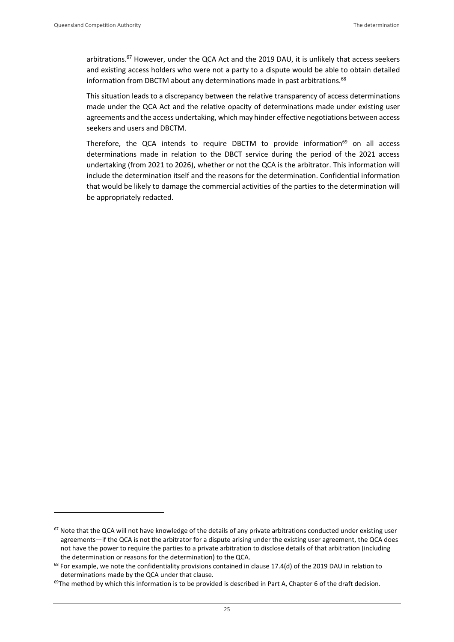arbitrations.<sup>67</sup> However, under the QCA Act and the 2019 DAU, it is unlikely that access seekers and existing access holders who were not a party to a dispute would be able to obtain detailed information from DBCTM about any determinations made in past arbitrations.<sup>68</sup>

This situation leads to a discrepancy between the relative transparency of access determinations made under the QCA Act and the relative opacity of determinations made under existing user agreements and the access undertaking, which may hinder effective negotiations between access seekers and users and DBCTM.

Therefore, the QCA intends to require DBCTM to provide information<sup>69</sup> on all access determinations made in relation to the DBCT service during the period of the 2021 access undertaking (from 2021 to 2026), whether or not the QCA is the arbitrator. This information will include the determination itself and the reasons for the determination. Confidential information that would be likely to damage the commercial activities of the parties to the determination will be appropriately redacted.

 $67$  Note that the QCA will not have knowledge of the details of any private arbitrations conducted under existing user agreements—if the QCA is not the arbitrator for a dispute arising under the existing user agreement, the QCA does not have the power to require the parties to a private arbitration to disclose details of that arbitration (including the determination or reasons for the determination) to the QCA.

 $68$  For example, we note the confidentiality provisions contained in clause 17.4(d) of the 2019 DAU in relation to determinations made by the QCA under that clause.

 $69$ The method by which this information is to be provided is described in Part A, Chapter 6 of the draft decision.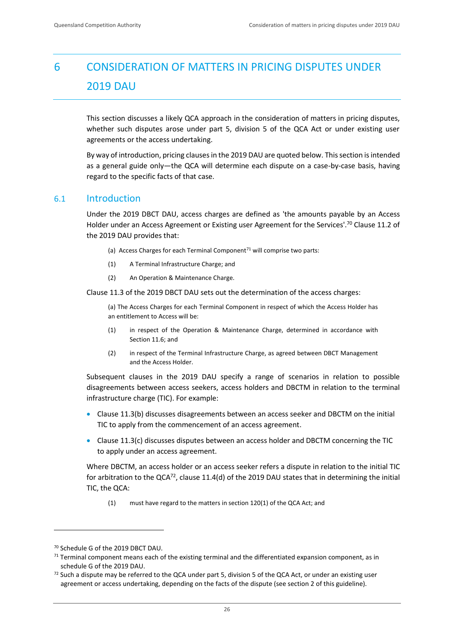## <span id="page-27-0"></span>6 CONSIDERATION OF MATTERS IN PRICING DISPUTES UNDER 2019 DAU

This section discusses a likely QCA approach in the consideration of matters in pricing disputes, whether such disputes arose under part 5, division 5 of the QCA Act or under existing user agreements or the access undertaking.

By way of introduction, pricing clauses in the 2019 DAU are quoted below. This section is intended as a general guide only—the QCA will determine each dispute on a case-by-case basis, having regard to the specific facts of that case.

## <span id="page-27-1"></span>6.1 Introduction

Under the 2019 DBCT DAU, access charges are defined as 'the amounts payable by an Access Holder under an Access Agreement or Existing user Agreement for the Services'.<sup>70</sup> Clause 11.2 of the 2019 DAU provides that:

- (a) Access Charges for each Terminal Component<sup>71</sup> will comprise two parts:
- (1) A Terminal Infrastructure Charge; and
- (2) An Operation & Maintenance Charge.

Clause 11.3 of the 2019 DBCT DAU sets out the determination of the access charges:

(a) The Access Charges for each Terminal Component in respect of which the Access Holder has an entitlement to Access will be:

- (1) in respect of the Operation & Maintenance Charge, determined in accordance with Section 11.6; and
- (2) in respect of the Terminal Infrastructure Charge, as agreed between DBCT Management and the Access Holder.

Subsequent clauses in the 2019 DAU specify a range of scenarios in relation to possible disagreements between access seekers, access holders and DBCTM in relation to the terminal infrastructure charge (TIC). For example:

- Clause 11.3(b) discusses disagreements between an access seeker and DBCTM on the initial TIC to apply from the commencement of an access agreement.
- Clause 11.3(c) discusses disputes between an access holder and DBCTM concerning the TIC to apply under an access agreement.

Where DBCTM, an access holder or an access seeker refers a dispute in relation to the initial TIC for arbitration to the QCA $^{72}$ , clause 11.4(d) of the 2019 DAU states that in determining the initial TIC, the QCA:

(1) must have regard to the matters in section 120(1) of the QCA Act; and

<sup>70</sup> Schedule G of the 2019 DBCT DAU.

 $71$  Terminal component means each of the existing terminal and the differentiated expansion component, as in schedule G of the 2019 DAU.

 $72$  Such a dispute may be referred to the QCA under part 5, division 5 of the QCA Act, or under an existing user agreement or access undertaking, depending on the facts of the dispute (see section 2 of this guideline).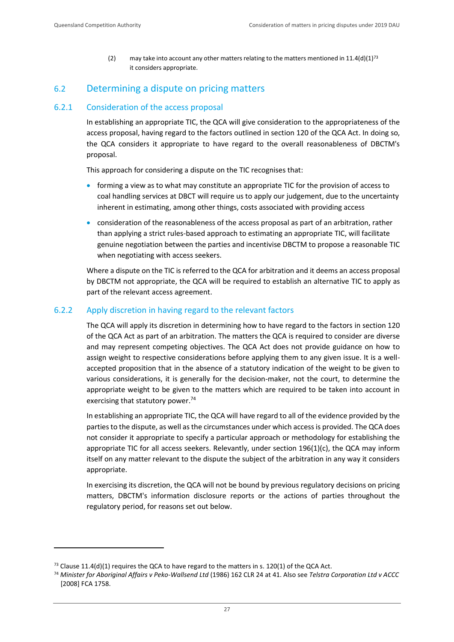(2) may take into account any other matters relating to the matters mentioned in  $11.4(d)(1)^{73}$ it considers appropriate.

## <span id="page-28-0"></span>6.2 Determining a dispute on pricing matters

## 6.2.1 Consideration of the access proposal

In establishing an appropriate TIC, the QCA will give consideration to the appropriateness of the access proposal, having regard to the factors outlined in section 120 of the QCA Act. In doing so, the QCA considers it appropriate to have regard to the overall reasonableness of DBCTM's proposal.

This approach for considering a dispute on the TIC recognises that:

- forming a view as to what may constitute an appropriate TIC for the provision of access to coal handling services at DBCT will require us to apply our judgement, due to the uncertainty inherent in estimating, among other things, costs associated with providing access
- consideration of the reasonableness of the access proposal as part of an arbitration, rather than applying a strict rules-based approach to estimating an appropriate TIC, will facilitate genuine negotiation between the parties and incentivise DBCTM to propose a reasonable TIC when negotiating with access seekers.

Where a dispute on the TIC is referred to the QCA for arbitration and it deems an access proposal by DBCTM not appropriate, the QCA will be required to establish an alternative TIC to apply as part of the relevant access agreement.

## 6.2.2 Apply discretion in having regard to the relevant factors

The QCA will apply its discretion in determining how to have regard to the factors in section 120 of the QCA Act as part of an arbitration. The matters the QCA is required to consider are diverse and may represent competing objectives. The QCA Act does not provide guidance on how to assign weight to respective considerations before applying them to any given issue. It is a wellaccepted proposition that in the absence of a statutory indication of the weight to be given to various considerations, it is generally for the decision-maker, not the court, to determine the appropriate weight to be given to the matters which are required to be taken into account in exercising that statutory power.<sup>74</sup>

In establishing an appropriate TIC, the QCA will have regard to all of the evidence provided by the parties to the dispute, as well as the circumstances under which access is provided. The QCA does not consider it appropriate to specify a particular approach or methodology for establishing the appropriate TIC for all access seekers. Relevantly, under section 196(1)(c), the QCA may inform itself on any matter relevant to the dispute the subject of the arbitration in any way it considers appropriate.

In exercising its discretion, the QCA will not be bound by previous regulatory decisions on pricing matters, DBCTM's information disclosure reports or the actions of parties throughout the regulatory period, for reasons set out below.

 $73$  Clause 11.4(d)(1) requires the QCA to have regard to the matters in s. 120(1) of the QCA Act.

<sup>74</sup> *Minister for Aboriginal Affairs v Peko-Wallsend Ltd* (1986) 162 CLR 24 at 41. Also see *Telstra Corporation Ltd v ACCC*  [2008] FCA 1758.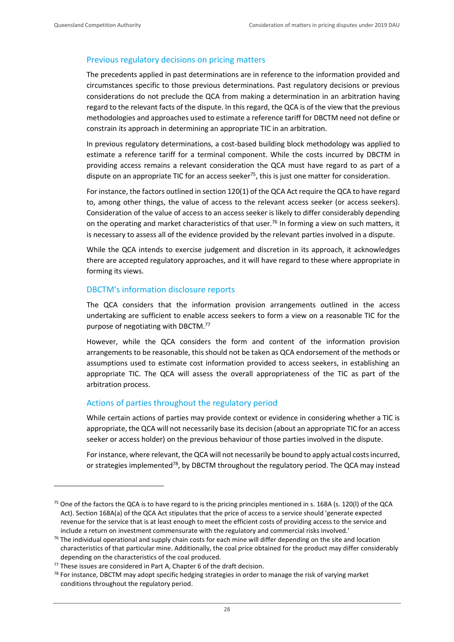#### Previous regulatory decisions on pricing matters

The precedents applied in past determinations are in reference to the information provided and circumstances specific to those previous determinations. Past regulatory decisions or previous considerations do not preclude the QCA from making a determination in an arbitration having regard to the relevant facts of the dispute. In this regard, the QCA is of the view that the previous methodologies and approaches used to estimate a reference tariff for DBCTM need not define or constrain its approach in determining an appropriate TIC in an arbitration.

In previous regulatory determinations, a cost-based building block methodology was applied to estimate a reference tariff for a terminal component. While the costs incurred by DBCTM in providing access remains a relevant consideration the QCA must have regard to as part of a dispute on an appropriate TIC for an access seeker<sup>75</sup>, this is just one matter for consideration.

For instance, the factors outlined in section 120(1) of the QCA Act require the QCA to have regard to, among other things, the value of access to the relevant access seeker (or access seekers). Consideration of the value of access to an access seeker is likely to differ considerably depending on the operating and market characteristics of that user.<sup>76</sup> In forming a view on such matters, it is necessary to assess all of the evidence provided by the relevant parties involved in a dispute.

While the QCA intends to exercise judgement and discretion in its approach, it acknowledges there are accepted regulatory approaches, and it will have regard to these where appropriate in forming its views.

### DBCTM's information disclosure reports

The QCA considers that the information provision arrangements outlined in the access undertaking are sufficient to enable access seekers to form a view on a reasonable TIC for the purpose of negotiating with DBCTM.<sup>77</sup>

However, while the QCA considers the form and content of the information provision arrangements to be reasonable, this should not be taken as QCA endorsement of the methods or assumptions used to estimate cost information provided to access seekers, in establishing an appropriate TIC. The QCA will assess the overall appropriateness of the TIC as part of the arbitration process.

#### Actions of parties throughout the regulatory period

While certain actions of parties may provide context or evidence in considering whether a TIC is appropriate, the QCA will not necessarily base its decision (about an appropriate TIC for an access seeker or access holder) on the previous behaviour of those parties involved in the dispute.

For instance, where relevant, the QCA will not necessarily be bound to apply actual costs incurred, or strategies implemented<sup>78</sup>, by DBCTM throughout the regulatory period. The QCA may instead

<sup>&</sup>lt;sup>75</sup> One of the factors the QCA is to have regard to is the pricing principles mentioned in s. 168A (s. 120(I) of the QCA Act). Section 168A(a) of the QCA Act stipulates that the price of access to a service should 'generate expected revenue for the service that is at least enough to meet the efficient costs of providing access to the service and include a return on investment commensurate with the regulatory and commercial risks involved.'

 $76$  The individual operational and supply chain costs for each mine will differ depending on the site and location characteristics of that particular mine. Additionally, the coal price obtained for the product may differ considerably depending on the characteristics of the coal produced.

 $77$  These issues are considered in Part A, Chapter 6 of the draft decision.

<sup>&</sup>lt;sup>78</sup> For instance, DBCTM may adopt specific hedging strategies in order to manage the risk of varying market conditions throughout the regulatory period.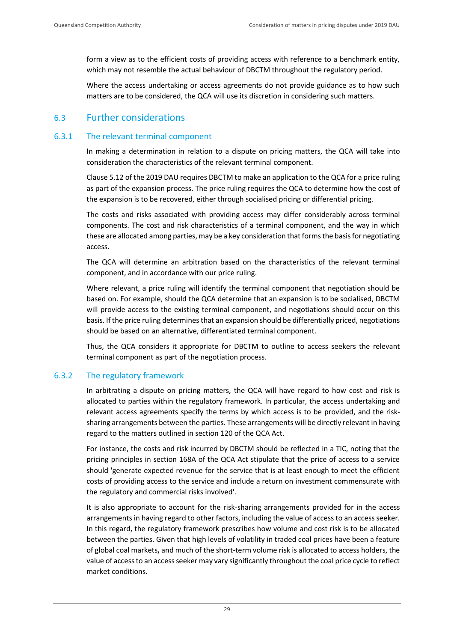form a view as to the efficient costs of providing access with reference to a benchmark entity, which may not resemble the actual behaviour of DBCTM throughout the regulatory period.

Where the access undertaking or access agreements do not provide guidance as to how such matters are to be considered, the QCA will use its discretion in considering such matters.

## <span id="page-30-0"></span>6.3 Further considerations

## 6.3.1 The relevant terminal component

In making a determination in relation to a dispute on pricing matters, the QCA will take into consideration the characteristics of the relevant terminal component.

Clause 5.12 of the 2019 DAU requires DBCTM to make an application to the QCA for a price ruling as part of the expansion process. The price ruling requires the QCA to determine how the cost of the expansion is to be recovered, either through socialised pricing or differential pricing.

The costs and risks associated with providing access may differ considerably across terminal components. The cost and risk characteristics of a terminal component, and the way in which these are allocated among parties, may be a key consideration that forms the basis for negotiating access.

The QCA will determine an arbitration based on the characteristics of the relevant terminal component, and in accordance with our price ruling.

Where relevant, a price ruling will identify the terminal component that negotiation should be based on. For example, should the QCA determine that an expansion is to be socialised, DBCTM will provide access to the existing terminal component, and negotiations should occur on this basis. If the price ruling determines that an expansion should be differentially priced, negotiations should be based on an alternative, differentiated terminal component.

Thus, the QCA considers it appropriate for DBCTM to outline to access seekers the relevant terminal component as part of the negotiation process.

## 6.3.2 The regulatory framework

In arbitrating a dispute on pricing matters, the QCA will have regard to how cost and risk is allocated to parties within the regulatory framework. In particular, the access undertaking and relevant access agreements specify the terms by which access is to be provided, and the risksharing arrangements between the parties. These arrangements will be directly relevant in having regard to the matters outlined in section 120 of the QCA Act.

For instance, the costs and risk incurred by DBCTM should be reflected in a TIC, noting that the pricing principles in section 168A of the QCA Act stipulate that the price of access to a service should 'generate expected revenue for the service that is at least enough to meet the efficient costs of providing access to the service and include a return on investment commensurate with the regulatory and commercial risks involved'.

It is also appropriate to account for the risk-sharing arrangements provided for in the access arrangements in having regard to other factors, including the value of access to an access seeker. In this regard, the regulatory framework prescribes how volume and cost risk is to be allocated between the parties. Given that high levels of volatility in traded coal prices have been a feature of global coal markets**,** and much of the short-term volume risk is allocated to access holders, the value of access to an access seeker may vary significantly throughout the coal price cycle to reflect market conditions.